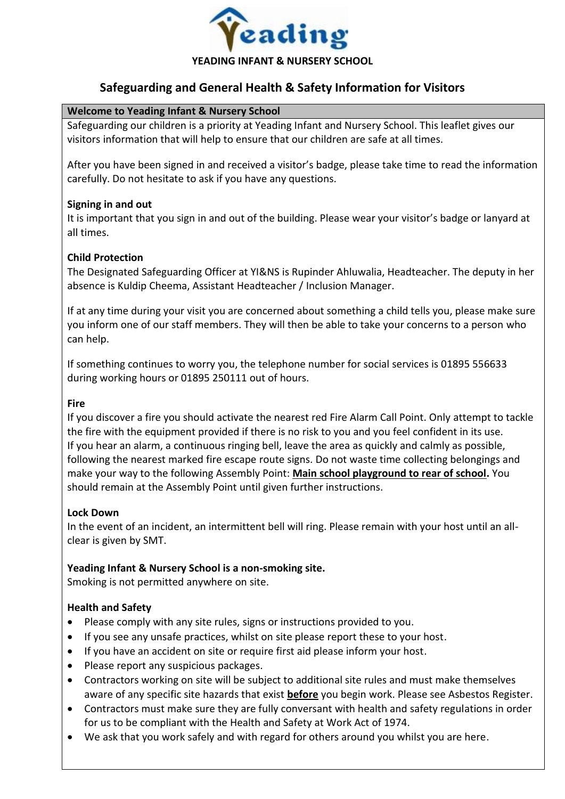

# **Safeguarding and General Health & Safety Information for Visitors**

### **Welcome to Yeading Infant & Nursery School**

Safeguarding our children is a priority at Yeading Infant and Nursery School. This leaflet gives our visitors information that will help to ensure that our children are safe at all times.

After you have been signed in and received a visitor's badge, please take time to read the information carefully. Do not hesitate to ask if you have any questions.

#### **Signing in and out**

It is important that you sign in and out of the building. Please wear your visitor's badge or lanyard at all times.

### **Child Protection**

The Designated Safeguarding Officer at YI&NS is Rupinder Ahluwalia, Headteacher. The deputy in her absence is Kuldip Cheema, Assistant Headteacher / Inclusion Manager.

If at any time during your visit you are concerned about something a child tells you, please make sure you inform one of our staff members. They will then be able to take your concerns to a person who can help.

If something continues to worry you, the telephone number for social services is 01895 556633 during working hours or 01895 250111 out of hours.

#### **Fire**

If you discover a fire you should activate the nearest red Fire Alarm Call Point. Only attempt to tackle the fire with the equipment provided if there is no risk to you and you feel confident in its use. If you hear an alarm, a continuous ringing bell, leave the area as quickly and calmly as possible, following the nearest marked fire escape route signs. Do not waste time collecting belongings and make your way to the following Assembly Point: **Main school playground to rear of school.** You should remain at the Assembly Point until given further instructions.

#### **Lock Down**

In the event of an incident, an intermittent bell will ring. Please remain with your host until an allclear is given by SMT.

#### **Yeading Infant & Nursery School is a non-smoking site.**

Smoking is not permitted anywhere on site.

#### **Health and Safety**

- Please comply with any site rules, signs or instructions provided to you.
- If you see any unsafe practices, whilst on site please report these to your host.
- If you have an accident on site or require first aid please inform your host.
- Please report any suspicious packages.
- Contractors working on site will be subject to additional site rules and must make themselves aware of any specific site hazards that exist **before** you begin work. Please see Asbestos Register.
- Contractors must make sure they are fully conversant with health and safety regulations in order for us to be compliant with the Health and Safety at Work Act of 1974.
- We ask that you work safely and with regard for others around you whilst you are here.